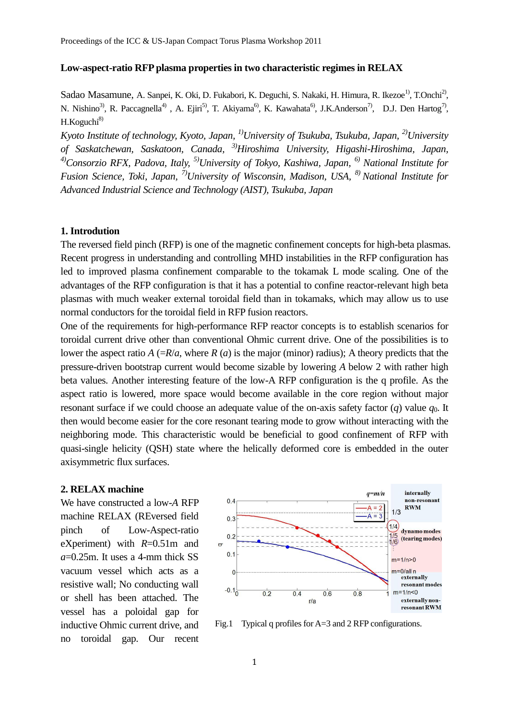# **Low-aspect-ratio RFP plasma properties in two characteristic regimes in RELAX**

Sadao Masamune, A. Sanpei, K. Oki, D. Fukabori, K. Deguchi, S. Nakaki, H. Himura, R. Ikezoe<sup>1)</sup>, T.Onchi<sup>2)</sup>, N. Nishino<sup>3)</sup>, R. Paccagnella<sup>4)</sup>, A. Ejiri<sup>5)</sup>, T. Akiyama<sup>6)</sup>, K. Kawahata<sup>6)</sup>, J.K.Anderson<sup>7)</sup>, D.J. Den Hartog<sup>7)</sup>,  $H.Koguchi<sup>8</sup>$ 

*Kyoto Institute of technology, Kyoto, Japan, 1)University of Tsukuba, Tsukuba, Japan, 2)University of Saskatchewan, Saskatoon, Canada, 3)Hiroshima University, Higashi-Hiroshima, Japan, 4)Consorzio RFX, Padova, Italy, 5)University of Tokyo, Kashiwa, Japan, 6) National Institute for Fusion Science, Toki, Japan, 7)University of Wisconsin, Madison, USA, 8) National Institute for Advanced Industrial Science and Technology (AIST), Tsukuba, Japan*

# **1. Introdution**

The reversed field pinch (RFP) is one of the magnetic confinement concepts for high-beta plasmas. Recent progress in understanding and controlling MHD instabilities in the RFP configuration has led to improved plasma confinement comparable to the tokamak L mode scaling. One of the advantages of the RFP configuration is that it has a potential to confine reactor-relevant high beta plasmas with much weaker external toroidal field than in tokamaks, which may allow us to use normal conductors for the toroidal field in RFP fusion reactors.

One of the requirements for high-performance RFP reactor concepts is to establish scenarios for toroidal current drive other than conventional Ohmic current drive. One of the possibilities is to lower the aspect ratio  $A (=R/a)$ , where  $R(a)$  is the major (minor) radius); A theory predicts that the pressure-driven bootstrap current would become sizable by lowering *A* below 2 with rather high beta values. Another interesting feature of the low-A RFP configuration is the q profile. As the aspect ratio is lowered, more space would become available in the core region without major resonant surface if we could choose an adequate value of the on-axis safety factor  $(q)$  value  $q_0$ . It then would become easier for the core resonant tearing mode to grow without interacting with the neighboring mode. This characteristic would be beneficial to good confinement of RFP with quasi-single helicity (QSH) state where the helically deformed core is embedded in the outer axisymmetric flux surfaces.

#### **2. RELAX machine**

We have constructed a low-*A* RFP machine RELAX (REversed field pinch of Low-Aspect-ratio eXperiment) with *R*=0.51m and *a*=0.25m. It uses a 4-mm thick SS vacuum vessel which acts as a resistive wall; No conducting wall or shell has been attached. The vessel has a poloidal gap for inductive Ohmic current drive, and no toroidal gap. Our recent



Fig.1 Typical q profiles for A=3 and 2 RFP configurations.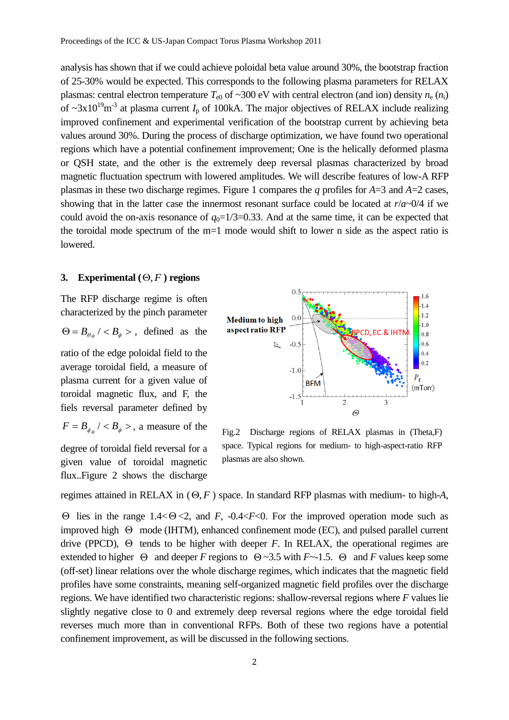analysis has shown that if we could achieve poloidal beta value around 30%, the bootstrap fraction of 25-30% would be expected. This corresponds to the following plasma parameters for RELAX plasmas: central electron temperature  $T_{e0}$  of ~300 eV with central electron (and ion) density  $n_e$  ( $n_i$ ) of  $\sim$ 3x10<sup>19</sup>m<sup>-3</sup> at plasma current *I*<sub>p</sub> of 100kA. The major objectives of RELAX include realizing improved confinement and experimental verification of the bootstrap current by achieving beta values around 30%. During the process of discharge optimization, we have found two operational regions which have a potential confinement improvement; One is the helically deformed plasma or QSH state, and the other is the extremely deep reversal plasmas characterized by broad magnetic fluctuation spectrum with lowered amplitudes. We will describe features of low-A RFP plasmas in these two discharge regimes. Figure 1 compares the *q* profiles for *A*=3 and *A*=2 cases, showing that in the latter case the innermost resonant surface could be located at *r*/*a*~0/4 if we could avoid the on-axis resonance of  $q_0=1/3=0.33$ . And at the same time, it can be expected that the toroidal mode spectrum of the m=1 mode would shift to lower n side as the aspect ratio is lowered.

# **3. Experimental**  $(\Theta, F)$  **regions**

The RFP discharge regime is often characterized by the pinch parameter  $\Theta = B_{\theta_a} / \langle B_{\phi} \rangle$ , defined as the

ratio of the edge poloidal field to the average toroidal field, a measure of plasma current for a given value of toroidal magnetic flux, and F, the fiels reversal parameter defined by

 $F = B_{\phi_a} / \langle B_{\phi} \rangle$ , a measure of the

degree of toroidal field reversal for a given value of toroidal magnetic flux..Figure 2 shows the discharge



Fig.2 Discharge regions of RELAX plasmas in (Theta,F) space. Typical regions for medium- to high-aspect-ratio RFP plasmas are also shown.

regimes attained in RELAX in  $(\Theta, F)$  space. In standard RFP plasmas with medium- to high-A,

 $\Theta$  lies in the range 1.4 <  $\Theta$  < 2, and *F*, -0.4 < *F*<0. For the improved operation mode such as improved high  $\Theta$  mode (IHTM), enhanced confinement mode (EC), and pulsed parallel current drive (PPCD),  $\Theta$  tends to be higher with deeper *F*. In RELAX, the operational regimes are extended to higher  $\Theta$  and deeper *F* regions to  $\Theta \sim 3.5$  with *F* $\sim$ -1.5.  $\Theta$  and *F* values keep some (off-set) linear relations over the whole discharge regimes, which indicates that the magnetic field profiles have some constraints, meaning self-organized magnetic field profiles over the discharge regions. We have identified two characteristic regions: shallow-reversal regions where *F* values lie slightly negative close to 0 and extremely deep reversal regions where the edge toroidal field reverses much more than in conventional RFPs. Both of these two regions have a potential confinement improvement, as will be discussed in the following sections.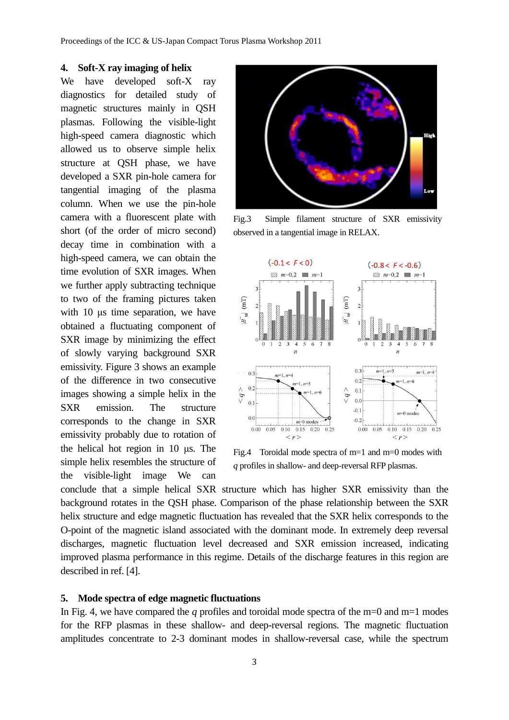## **4. Soft-X ray imaging of helix**

We have developed soft-X ray diagnostics for detailed study of magnetic structures mainly in QSH plasmas. Following the visible-light high-speed camera diagnostic which allowed us to observe simple helix structure at QSH phase, we have developed a SXR pin-hole camera for tangential imaging of the plasma column. When we use the pin-hole camera with a fluorescent plate with short (of the order of micro second) decay time in combination with a high-speed camera, we can obtain the time evolution of SXR images. When we further apply subtracting technique to two of the framing pictures taken with 10 μs time separation, we have obtained a fluctuating component of SXR image by minimizing the effect of slowly varying background SXR emissivity. Figure 3 shows an example of the difference in two consecutive images showing a simple helix in the SXR emission. The structure corresponds to the change in SXR emissivity probably due to rotation of the helical hot region in 10 μs. The simple helix resembles the structure of the visible-light image We can



Fig.3 Simple filament structure of SXR emissivity observed in a tangential image in RELAX.



Fig.4 Toroidal mode spectra of m=1 and m=0 modes with *q* profiles in shallow- and deep-reversal RFP plasmas.

conclude that a simple helical SXR structure which has higher SXR emissivity than the background rotates in the QSH phase. Comparison of the phase relationship between the SXR helix structure and edge magnetic fluctuation has revealed that the SXR helix corresponds to the O-point of the magnetic island associated with the dominant mode. In extremely deep reversal discharges, magnetic fluctuation level decreased and SXR emission increased, indicating improved plasma performance in this regime. Details of the discharge features in this region are described in ref. [4].

# **5. Mode spectra of edge magnetic fluctuations**

In Fig. 4, we have compared the *q* profiles and toroidal mode spectra of the m=0 and m=1 modes for the RFP plasmas in these shallow- and deep-reversal regions. The magnetic fluctuation amplitudes concentrate to 2-3 dominant modes in shallow-reversal case, while the spectrum